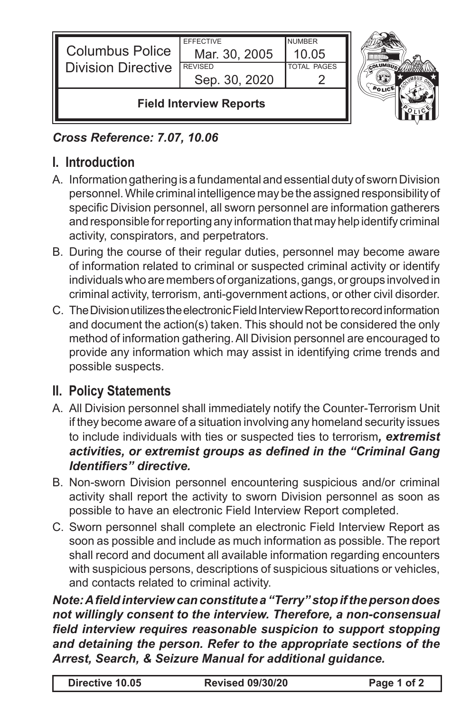| <b>Columbus Police</b><br><b>Division Directive</b> | <b>EFFECTIVE</b><br>Mar. 30, 2005<br><b>REVISED</b><br>Sep. 30, 2020 | <b>NUMBER</b><br>10.05<br><b>TOTAL PAGES</b> |  |
|-----------------------------------------------------|----------------------------------------------------------------------|----------------------------------------------|--|
| <b>Field Interview Reports</b>                      |                                                                      |                                              |  |

## *Cross Reference: 7.07, 10.06*

## **I. Introduction**

- A. Information gathering is a fundamental and essential duty of sworn Division personnel. While criminal intelligence may be the assigned responsibility of specific Division personnel, all sworn personnel are information gatherers and responsible for reporting any information that may help identify criminal activity, conspirators, and perpetrators.
- B. During the course of their regular duties, personnel may become aware of information related to criminal or suspected criminal activity or identify individuals who are members of organizations, gangs, or groups involved in criminal activity, terrorism, anti-government actions, or other civil disorder.
- C. The Division utilizes the electronic Field Interview Report to record information and document the action(s) taken. This should not be considered the only method of information gathering. All Division personnel are encouraged to provide any information which may assist in identifying crime trends and possible suspects.

## **II. Policy Statements**

- A. All Division personnel shall immediately notify the Counter-Terrorism Unit if they become aware of a situation involving any homeland security issues to include individuals with ties or suspected ties to terrorism*, extremist activities, or extremist groups as defined in the "Criminal Gang Identifiers" directive.*
- B. Non-sworn Division personnel encountering suspicious and/or criminal activity shall report the activity to sworn Division personnel as soon as possible to have an electronic Field Interview Report completed.
- C. Sworn personnel shall complete an electronic Field Interview Report as soon as possible and include as much information as possible. The report shall record and document all available information regarding encounters with suspicious persons, descriptions of suspicious situations or vehicles, and contacts related to criminal activity.

*Note: A field interview can constitute a "Terry" stop if the person does not willingly consent to the interview. Therefore, a non-consensual field interview requires reasonable suspicion to support stopping and detaining the person. Refer to the appropriate sections of the Arrest, Search, & Seizure Manual for additional guidance.*

| Directive 10.05 | <b>Revised 09/30/20</b> | Page 1 of 2 |
|-----------------|-------------------------|-------------|